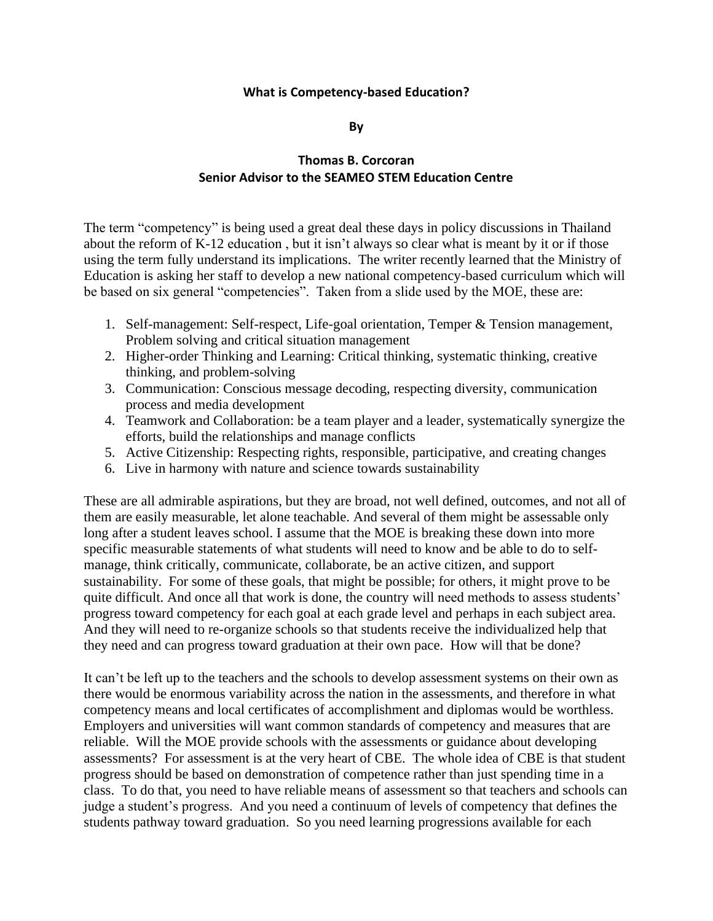#### **What is Competency-based Education?**

**By**

# **Thomas B. Corcoran Senior Advisor to the SEAMEO STEM Education Centre**

The term "competency" is being used a great deal these days in policy discussions in Thailand about the reform of K-12 education , but it isn't always so clear what is meant by it or if those using the term fully understand its implications. The writer recently learned that the Ministry of Education is asking her staff to develop a new national competency-based curriculum which will be based on six general "competencies". Taken from a slide used by the MOE, these are:

- 1. Self-management: Self-respect, Life-goal orientation, Temper & Tension management, Problem solving and critical situation management
- 2. Higher-order Thinking and Learning: Critical thinking, systematic thinking, creative thinking, and problem-solving
- 3. Communication: Conscious message decoding, respecting diversity, communication process and media development
- 4. Teamwork and Collaboration: be a team player and a leader, systematically synergize the efforts, build the relationships and manage conflicts
- 5. Active Citizenship: Respecting rights, responsible, participative, and creating changes
- 6. Live in harmony with nature and science towards sustainability

These are all admirable aspirations, but they are broad, not well defined, outcomes, and not all of them are easily measurable, let alone teachable. And several of them might be assessable only long after a student leaves school. I assume that the MOE is breaking these down into more specific measurable statements of what students will need to know and be able to do to selfmanage, think critically, communicate, collaborate, be an active citizen, and support sustainability. For some of these goals, that might be possible; for others, it might prove to be quite difficult. And once all that work is done, the country will need methods to assess students' progress toward competency for each goal at each grade level and perhaps in each subject area. And they will need to re-organize schools so that students receive the individualized help that they need and can progress toward graduation at their own pace. How will that be done?

It can't be left up to the teachers and the schools to develop assessment systems on their own as there would be enormous variability across the nation in the assessments, and therefore in what competency means and local certificates of accomplishment and diplomas would be worthless. Employers and universities will want common standards of competency and measures that are reliable. Will the MOE provide schools with the assessments or guidance about developing assessments? For assessment is at the very heart of CBE. The whole idea of CBE is that student progress should be based on demonstration of competence rather than just spending time in a class. To do that, you need to have reliable means of assessment so that teachers and schools can judge a student's progress. And you need a continuum of levels of competency that defines the students pathway toward graduation. So you need learning progressions available for each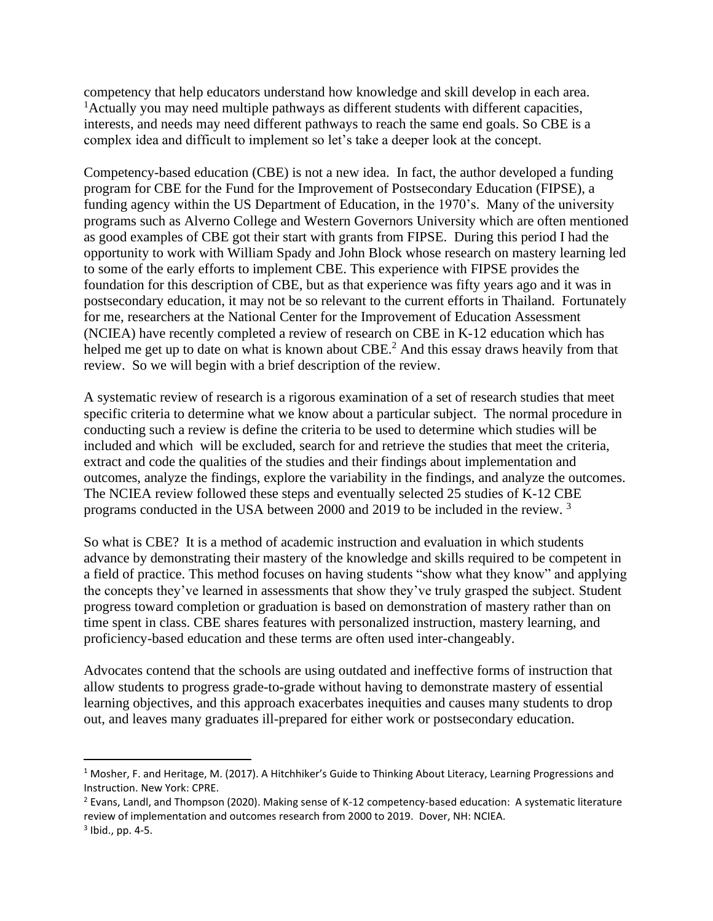competency that help educators understand how knowledge and skill develop in each area. <sup>1</sup> Actually you may need multiple pathways as different students with different capacities, interests, and needs may need different pathways to reach the same end goals. So CBE is a complex idea and difficult to implement so let's take a deeper look at the concept.

Competency-based education (CBE) is not a new idea. In fact, the author developed a funding program for CBE for the Fund for the Improvement of Postsecondary Education (FIPSE), a funding agency within the US Department of Education, in the 1970's. Many of the university programs such as Alverno College and Western Governors University which are often mentioned as good examples of CBE got their start with grants from FIPSE. During this period I had the opportunity to work with William Spady and John Block whose research on mastery learning led to some of the early efforts to implement CBE. This experience with FIPSE provides the foundation for this description of CBE, but as that experience was fifty years ago and it was in postsecondary education, it may not be so relevant to the current efforts in Thailand. Fortunately for me, researchers at the National Center for the Improvement of Education Assessment (NCIEA) have recently completed a review of research on CBE in K-12 education which has helped me get up to date on what is known about CBE.<sup>2</sup> And this essay draws heavily from that review. So we will begin with a brief description of the review.

A systematic review of research is a rigorous examination of a set of research studies that meet specific criteria to determine what we know about a particular subject. The normal procedure in conducting such a review is define the criteria to be used to determine which studies will be included and which will be excluded, search for and retrieve the studies that meet the criteria, extract and code the qualities of the studies and their findings about implementation and outcomes, analyze the findings, explore the variability in the findings, and analyze the outcomes. The NCIEA review followed these steps and eventually selected 25 studies of K-12 CBE programs conducted in the USA between 2000 and 2019 to be included in the review. <sup>3</sup>

So what is CBE? It is a method of academic instruction and evaluation in which students advance by demonstrating their mastery of the knowledge and skills required to be competent in a field of practice. This method focuses on having students "show what they know" and applying the concepts they've learned in assessments that show they've truly grasped the subject. Student progress toward completion or graduation is based on demonstration of mastery rather than on time spent in class. CBE shares features with personalized instruction, mastery learning, and proficiency-based education and these terms are often used inter-changeably.

Advocates contend that the schools are using outdated and ineffective forms of instruction that allow students to progress grade-to-grade without having to demonstrate mastery of essential learning objectives, and this approach exacerbates inequities and causes many students to drop out, and leaves many graduates ill-prepared for either work or postsecondary education.

<sup>&</sup>lt;sup>1</sup> Mosher, F. and Heritage, M. (2017). A Hitchhiker's Guide to Thinking About Literacy, Learning Progressions and Instruction. New York: CPRE.

<sup>&</sup>lt;sup>2</sup> Evans, Landl, and Thompson (2020). Making sense of K-12 competency-based education: A systematic literature review of implementation and outcomes research from 2000 to 2019. Dover, NH: NCIEA.

<sup>3</sup> Ibid., pp. 4-5.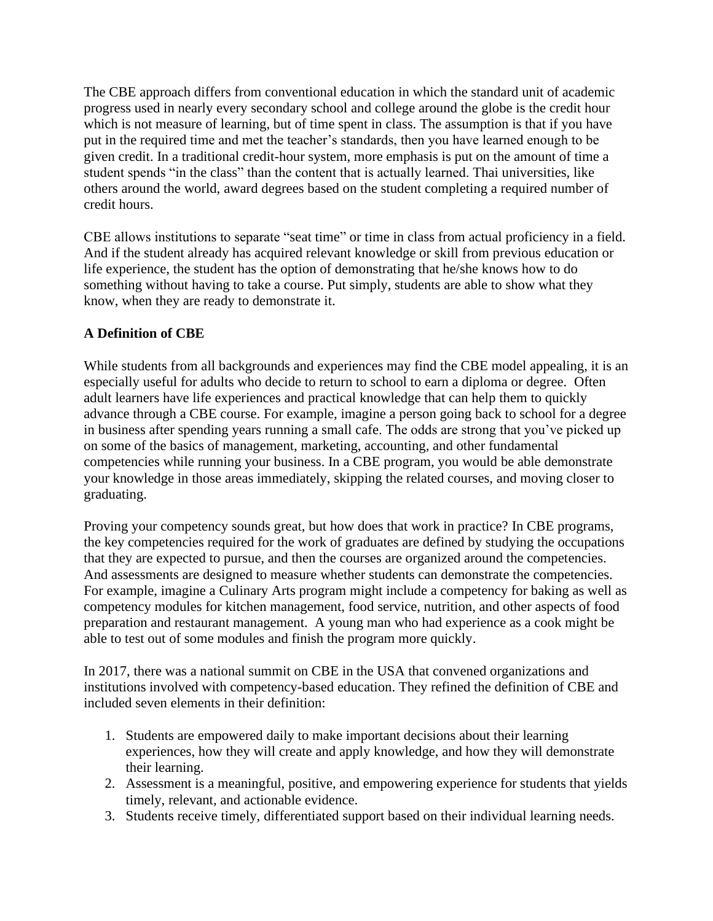The CBE approach differs from conventional education in which the standard unit of academic progress used in nearly every secondary school and college around the globe is the credit hour which is not measure of learning, but of time spent in class. The assumption is that if you have put in the required time and met the teacher's standards, then you have learned enough to be given credit. In a traditional credit-hour system, more emphasis is put on the amount of time a student spends "in the class" than the content that is actually learned. Thai universities, like others around the world, award degrees based on the student completing a required number of credit hours.

CBE allows institutions to separate "seat time" or time in class from actual proficiency in a field. And if the student already has acquired relevant knowledge or skill from previous education or life experience, the student has the option of demonstrating that he/she knows how to do something without having to take a course. Put simply, students are able to show what they know, when they are ready to demonstrate it.

# **A Definition of CBE**

While students from all backgrounds and experiences may find the CBE model appealing, it is an especially useful for adults who decide to return to school to earn a diploma or degree. Often adult learners have life experiences and practical knowledge that can help them to quickly advance through a CBE course. For example, imagine a person going back to school for a degree in business after spending years running a small cafe. The odds are strong that you've picked up on some of the basics of management, marketing, accounting, and other fundamental competencies while running your business. In a CBE program, you would be able demonstrate your knowledge in those areas immediately, skipping the related courses, and moving closer to graduating.

Proving your competency sounds great, but how does that work in practice? In CBE programs, the key competencies required for the work of graduates are defined by studying the occupations that they are expected to pursue, and then the courses are organized around the competencies. And assessments are designed to measure whether students can demonstrate the competencies. For example, imagine a Culinary Arts program might include a competency for baking as well as competency modules for kitchen management, food service, nutrition, and other aspects of food preparation and restaurant management. A young man who had experience as a cook might be able to test out of some modules and finish the program more quickly.

In 2017, there was a national summit on CBE in the USA that convened organizations and institutions involved with competency-based education. They refined the definition of CBE and included seven elements in their definition:

- 1. Students are empowered daily to make important decisions about their learning experiences, how they will create and apply knowledge, and how they will demonstrate their learning.
- 2. Assessment is a meaningful, positive, and empowering experience for students that yields timely, relevant, and actionable evidence.
- 3. Students receive timely, differentiated support based on their individual learning needs.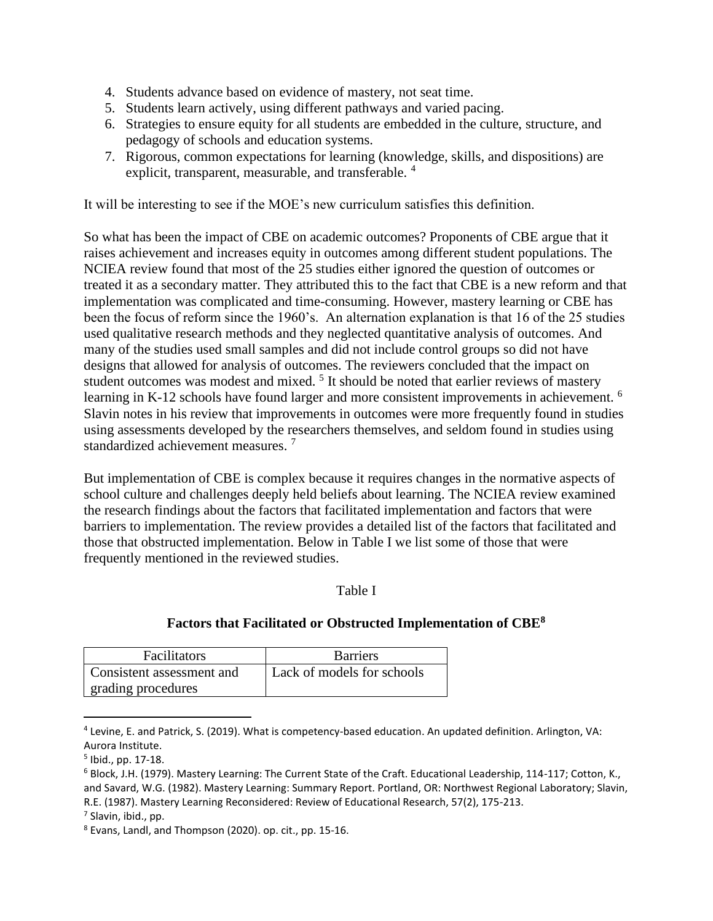- 4. Students advance based on evidence of mastery, not seat time.
- 5. Students learn actively, using different pathways and varied pacing.
- 6. Strategies to ensure equity for all students are embedded in the culture, structure, and pedagogy of schools and education systems.
- 7. Rigorous, common expectations for learning (knowledge, skills, and dispositions) are explicit, transparent, measurable, and transferable. <sup>4</sup>

It will be interesting to see if the MOE's new curriculum satisfies this definition.

So what has been the impact of CBE on academic outcomes? Proponents of CBE argue that it raises achievement and increases equity in outcomes among different student populations. The NCIEA review found that most of the 25 studies either ignored the question of outcomes or treated it as a secondary matter. They attributed this to the fact that CBE is a new reform and that implementation was complicated and time-consuming. However, mastery learning or CBE has been the focus of reform since the 1960's. An alternation explanation is that 16 of the 25 studies used qualitative research methods and they neglected quantitative analysis of outcomes. And many of the studies used small samples and did not include control groups so did not have designs that allowed for analysis of outcomes. The reviewers concluded that the impact on student outcomes was modest and mixed.  $5$  It should be noted that earlier reviews of mastery learning in K-12 schools have found larger and more consistent improvements in achievement. <sup>6</sup> Slavin notes in his review that improvements in outcomes were more frequently found in studies using assessments developed by the researchers themselves, and seldom found in studies using standardized achievement measures. <sup>7</sup>

But implementation of CBE is complex because it requires changes in the normative aspects of school culture and challenges deeply held beliefs about learning. The NCIEA review examined the research findings about the factors that facilitated implementation and factors that were barriers to implementation. The review provides a detailed list of the factors that facilitated and those that obstructed implementation. Below in Table I we list some of those that were frequently mentioned in the reviewed studies.

#### Table I

# **Factors that Facilitated or Obstructed Implementation of CBE<sup>8</sup>**

| Facilitators              | <b>Barriers</b>            |
|---------------------------|----------------------------|
| Consistent assessment and | Lack of models for schools |
| grading procedures        |                            |

<sup>4</sup> Levine, E. and Patrick, S. (2019). What is competency-based education. An updated definition. Arlington, VA: Aurora Institute.

<sup>5</sup> Ibid., pp. 17-18.

<sup>6</sup> Block, J.H. (1979). Mastery Learning: The Current State of the Craft. Educational Leadership, 114-117; Cotton, K., and Savard, W.G. (1982). Mastery Learning: Summary Report. Portland, OR: Northwest Regional Laboratory; Slavin, R.E. (1987). Mastery Learning Reconsidered: Review of Educational Research, 57(2), 175-213.

<sup>7</sup> Slavin, ibid., pp.

<sup>8</sup> Evans, Landl, and Thompson (2020). op. cit., pp. 15-16.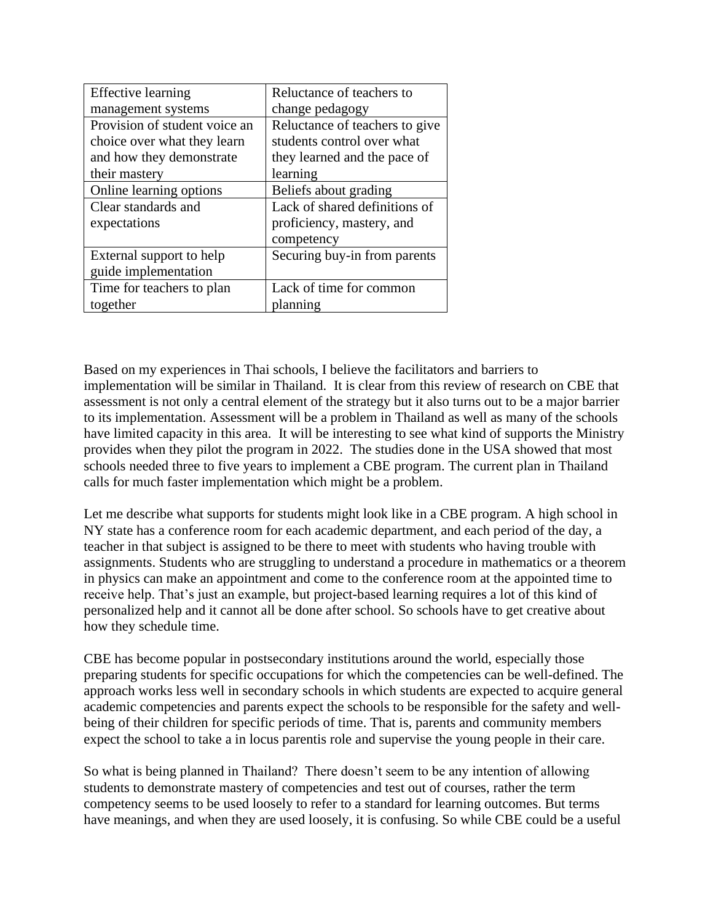| <b>Effective</b> learning     | Reluctance of teachers to      |
|-------------------------------|--------------------------------|
| management systems            | change pedagogy                |
| Provision of student voice an | Reluctance of teachers to give |
| choice over what they learn   | students control over what     |
| and how they demonstrate      | they learned and the pace of   |
| their mastery                 | learning                       |
| Online learning options       | Beliefs about grading          |
| Clear standards and           | Lack of shared definitions of  |
| expectations                  | proficiency, mastery, and      |
|                               | competency                     |
| External support to help      | Securing buy-in from parents   |
| guide implementation          |                                |
| Time for teachers to plan     | Lack of time for common        |
| together                      | planning                       |

Based on my experiences in Thai schools, I believe the facilitators and barriers to implementation will be similar in Thailand. It is clear from this review of research on CBE that assessment is not only a central element of the strategy but it also turns out to be a major barrier to its implementation. Assessment will be a problem in Thailand as well as many of the schools have limited capacity in this area. It will be interesting to see what kind of supports the Ministry provides when they pilot the program in 2022. The studies done in the USA showed that most schools needed three to five years to implement a CBE program. The current plan in Thailand calls for much faster implementation which might be a problem.

Let me describe what supports for students might look like in a CBE program. A high school in NY state has a conference room for each academic department, and each period of the day, a teacher in that subject is assigned to be there to meet with students who having trouble with assignments. Students who are struggling to understand a procedure in mathematics or a theorem in physics can make an appointment and come to the conference room at the appointed time to receive help. That's just an example, but project-based learning requires a lot of this kind of personalized help and it cannot all be done after school. So schools have to get creative about how they schedule time.

CBE has become popular in postsecondary institutions around the world, especially those preparing students for specific occupations for which the competencies can be well-defined. The approach works less well in secondary schools in which students are expected to acquire general academic competencies and parents expect the schools to be responsible for the safety and wellbeing of their children for specific periods of time. That is, parents and community members expect the school to take a in locus parentis role and supervise the young people in their care.

So what is being planned in Thailand? There doesn't seem to be any intention of allowing students to demonstrate mastery of competencies and test out of courses, rather the term competency seems to be used loosely to refer to a standard for learning outcomes. But terms have meanings, and when they are used loosely, it is confusing. So while CBE could be a useful